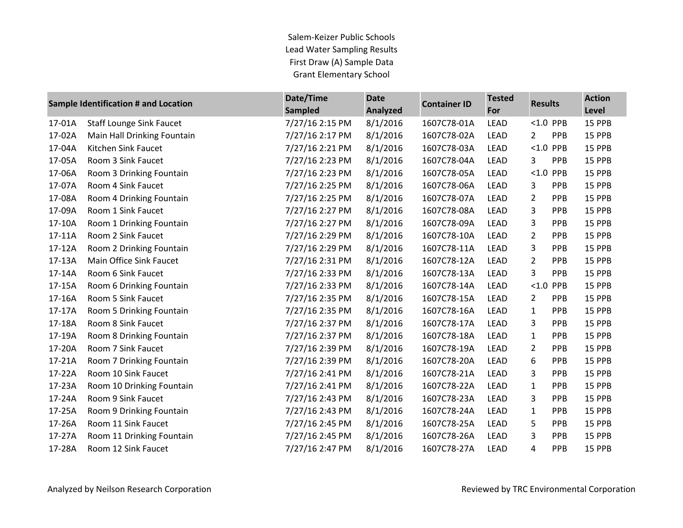Salem-Keizer Public Schools Lead Water Sampling Results First Draw (A) Sample Data Grant Elementary School

| Sample Identification # and Location |                                 | Date/Time<br><b>Sampled</b> | <b>Date</b><br><b>Analyzed</b> | <b>Container ID</b> | <b>Tested</b><br><b>Results</b><br>For |                |             | <b>Action</b><br>Level |
|--------------------------------------|---------------------------------|-----------------------------|--------------------------------|---------------------|----------------------------------------|----------------|-------------|------------------------|
| 17-01A                               | <b>Staff Lounge Sink Faucet</b> | 7/27/16 2:15 PM             | 8/1/2016                       | 1607C78-01A         | <b>LEAD</b>                            |                | $< 1.0$ PPB | 15 PPB                 |
| 17-02A                               | Main Hall Drinking Fountain     | 7/27/16 2:17 PM             | 8/1/2016                       | 1607C78-02A         | LEAD                                   | $\overline{2}$ | PPB         | 15 PPB                 |
| 17-04A                               | Kitchen Sink Faucet             | 7/27/16 2:21 PM             | 8/1/2016                       | 1607C78-03A         | LEAD                                   |                | $< 1.0$ PPB | 15 PPB                 |
| 17-05A                               | Room 3 Sink Faucet              | 7/27/16 2:23 PM             | 8/1/2016                       | 1607C78-04A         | LEAD                                   | 3              | <b>PPB</b>  | 15 PPB                 |
| 17-06A                               | Room 3 Drinking Fountain        | 7/27/16 2:23 PM             | 8/1/2016                       | 1607C78-05A         | LEAD                                   | < 1.0          | PPB         | 15 PPB                 |
| 17-07A                               | Room 4 Sink Faucet              | 7/27/16 2:25 PM             | 8/1/2016                       | 1607C78-06A         | LEAD                                   | 3              | <b>PPB</b>  | 15 PPB                 |
| 17-08A                               | Room 4 Drinking Fountain        | 7/27/16 2:25 PM             | 8/1/2016                       | 1607C78-07A         | LEAD                                   | $\overline{2}$ | PPB         | 15 PPB                 |
| 17-09A                               | Room 1 Sink Faucet              | 7/27/16 2:27 PM             | 8/1/2016                       | 1607C78-08A         | LEAD                                   | 3              | PPB         | 15 PPB                 |
| 17-10A                               | Room 1 Drinking Fountain        | 7/27/16 2:27 PM             | 8/1/2016                       | 1607C78-09A         | LEAD                                   | 3              | <b>PPB</b>  | 15 PPB                 |
| 17-11A                               | Room 2 Sink Faucet              | 7/27/16 2:29 PM             | 8/1/2016                       | 1607C78-10A         | LEAD                                   | $\overline{2}$ | PPB         | 15 PPB                 |
| 17-12A                               | Room 2 Drinking Fountain        | 7/27/16 2:29 PM             | 8/1/2016                       | 1607C78-11A         | <b>LEAD</b>                            | 3              | PPB         | 15 PPB                 |
| 17-13A                               | Main Office Sink Faucet         | 7/27/16 2:31 PM             | 8/1/2016                       | 1607C78-12A         | LEAD                                   | $\overline{2}$ | PPB         | 15 PPB                 |
| 17-14A                               | Room 6 Sink Faucet              | 7/27/16 2:33 PM             | 8/1/2016                       | 1607C78-13A         | LEAD                                   | 3              | PPB         | 15 PPB                 |
| 17-15A                               | Room 6 Drinking Fountain        | 7/27/16 2:33 PM             | 8/1/2016                       | 1607C78-14A         | LEAD                                   | < 1.0          | <b>PPB</b>  | 15 PPB                 |
| 17-16A                               | Room 5 Sink Faucet              | 7/27/16 2:35 PM             | 8/1/2016                       | 1607C78-15A         | LEAD                                   | $\overline{2}$ | PPB         | 15 PPB                 |
| 17-17A                               | Room 5 Drinking Fountain        | 7/27/16 2:35 PM             | 8/1/2016                       | 1607C78-16A         | LEAD                                   | $\mathbf{1}$   | PPB         | 15 PPB                 |
| 17-18A                               | Room 8 Sink Faucet              | 7/27/16 2:37 PM             | 8/1/2016                       | 1607C78-17A         | <b>LEAD</b>                            | 3              | PPB         | <b>15 PPB</b>          |
| 17-19A                               | Room 8 Drinking Fountain        | 7/27/16 2:37 PM             | 8/1/2016                       | 1607C78-18A         | LEAD                                   | 1              | PPB         | 15 PPB                 |
| 17-20A                               | Room 7 Sink Faucet              | 7/27/16 2:39 PM             | 8/1/2016                       | 1607C78-19A         | <b>LEAD</b>                            | $\overline{2}$ | <b>PPB</b>  | 15 PPB                 |
| 17-21A                               | Room 7 Drinking Fountain        | 7/27/16 2:39 PM             | 8/1/2016                       | 1607C78-20A         | LEAD                                   | 6              | PPB         | 15 PPB                 |
| 17-22A                               | Room 10 Sink Faucet             | 7/27/16 2:41 PM             | 8/1/2016                       | 1607C78-21A         | LEAD                                   | 3              | PPB         | 15 PPB                 |
| 17-23A                               | Room 10 Drinking Fountain       | 7/27/16 2:41 PM             | 8/1/2016                       | 1607C78-22A         | <b>LEAD</b>                            | 1              | <b>PPB</b>  | 15 PPB                 |
| 17-24A                               | Room 9 Sink Faucet              | 7/27/16 2:43 PM             | 8/1/2016                       | 1607C78-23A         | LEAD                                   | 3              | PPB         | 15 PPB                 |
| 17-25A                               | Room 9 Drinking Fountain        | 7/27/16 2:43 PM             | 8/1/2016                       | 1607C78-24A         | <b>LEAD</b>                            | $\mathbf{1}$   | <b>PPB</b>  | 15 PPB                 |
| 17-26A                               | Room 11 Sink Faucet             | 7/27/16 2:45 PM             | 8/1/2016                       | 1607C78-25A         | LEAD                                   | 5              | PPB         | 15 PPB                 |
| 17-27A                               | Room 11 Drinking Fountain       | 7/27/16 2:45 PM             | 8/1/2016                       | 1607C78-26A         | LEAD                                   | 3              | PPB         | 15 PPB                 |
| 17-28A                               | Room 12 Sink Faucet             | 7/27/16 2:47 PM             | 8/1/2016                       | 1607C78-27A         | <b>LEAD</b>                            | 4              | <b>PPB</b>  | 15 PPB                 |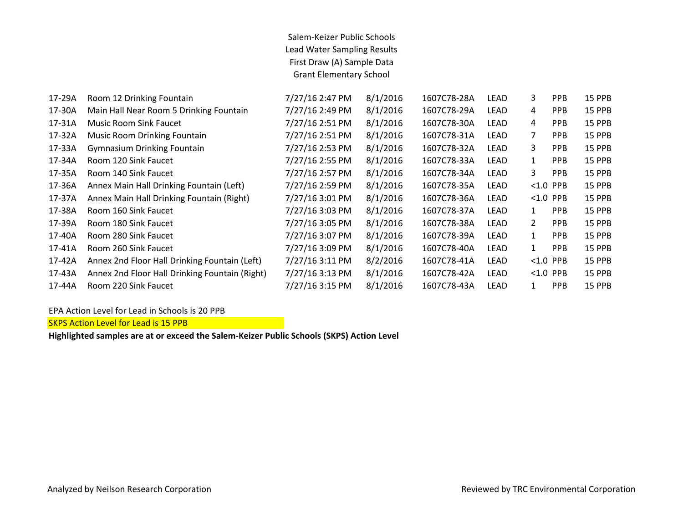## Salem-Keizer Public Schools Lead Water Sampling Results First Draw (A) Sample Data Grant Elementary School

| 17-29A | Room 12 Drinking Fountain                      | 7/27/16 2:47 PM | 8/1/2016 | 1607C78-28A | <b>LEAD</b> | 3              | <b>PPB</b> | <b>15 PPB</b> |
|--------|------------------------------------------------|-----------------|----------|-------------|-------------|----------------|------------|---------------|
| 17-30A | Main Hall Near Room 5 Drinking Fountain        | 7/27/16 2:49 PM | 8/1/2016 | 1607C78-29A | <b>LEAD</b> | 4              | PPB        | <b>15 PPB</b> |
| 17-31A | <b>Music Room Sink Faucet</b>                  | 7/27/16 2:51 PM | 8/1/2016 | 1607C78-30A | LEAD        | 4              | PPB        | 15 PPB        |
| 17-32A | <b>Music Room Drinking Fountain</b>            | 7/27/16 2:51 PM | 8/1/2016 | 1607C78-31A | LEAD        | $\overline{7}$ | <b>PPB</b> | 15 PPB        |
| 17-33A | <b>Gymnasium Drinking Fountain</b>             | 7/27/16 2:53 PM | 8/1/2016 | 1607C78-32A | <b>LEAD</b> | 3              | <b>PPB</b> | 15 PPB        |
| 17-34A | Room 120 Sink Faucet                           | 7/27/16 2:55 PM | 8/1/2016 | 1607C78-33A | LEAD        | 1              | PPB        | 15 PPB        |
| 17-35A | Room 140 Sink Faucet                           | 7/27/16 2:57 PM | 8/1/2016 | 1607C78-34A | LEAD        | 3              | PPB        | <b>15 PPB</b> |
| 17-36A | Annex Main Hall Drinking Fountain (Left)       | 7/27/16 2:59 PM | 8/1/2016 | 1607C78-35A | <b>LEAD</b> | $< 1.0$ PPB    |            | 15 PPB        |
| 17-37A | Annex Main Hall Drinking Fountain (Right)      | 7/27/16 3:01 PM | 8/1/2016 | 1607C78-36A | LEAD        | $< 1.0$ PPB    |            | <b>15 PPB</b> |
| 17-38A | Room 160 Sink Faucet                           | 7/27/16 3:03 PM | 8/1/2016 | 1607C78-37A | LEAD        | $\mathbf{1}$   | <b>PPB</b> | 15 PPB        |
| 17-39A | Room 180 Sink Faucet                           | 7/27/16 3:05 PM | 8/1/2016 | 1607C78-38A | LEAD        | $\overline{2}$ | PPB        | 15 PPB        |
| 17-40A | Room 280 Sink Faucet                           | 7/27/16 3:07 PM | 8/1/2016 | 1607C78-39A | <b>LEAD</b> | $\mathbf{1}$   | PPB        | <b>15 PPB</b> |
| 17-41A | Room 260 Sink Faucet                           | 7/27/16 3:09 PM | 8/1/2016 | 1607C78-40A | LEAD        | $\mathbf{1}$   | PPB        | 15 PPB        |
| 17-42A | Annex 2nd Floor Hall Drinking Fountain (Left)  | 7/27/16 3:11 PM | 8/2/2016 | 1607C78-41A | LEAD        | $< 1.0$ PPB    |            | 15 PPB        |
| 17-43A | Annex 2nd Floor Hall Drinking Fountain (Right) | 7/27/16 3:13 PM | 8/1/2016 | 1607C78-42A | LEAD        | $< 1.0$ PPB    |            | <b>15 PPB</b> |
| 17-44A | Room 220 Sink Faucet                           | 7/27/16 3:15 PM | 8/1/2016 | 1607C78-43A | LEAD        | 1              | <b>PPB</b> | <b>15 PPB</b> |
|        |                                                |                 |          |             |             |                |            |               |

EPA Action Level for Lead in Schools is 20 PPB

SKPS Action Level for Lead is 15 PPB

**Highlighted samples are at or exceed the Salem-Keizer Public Schools (SKPS) Action Level**